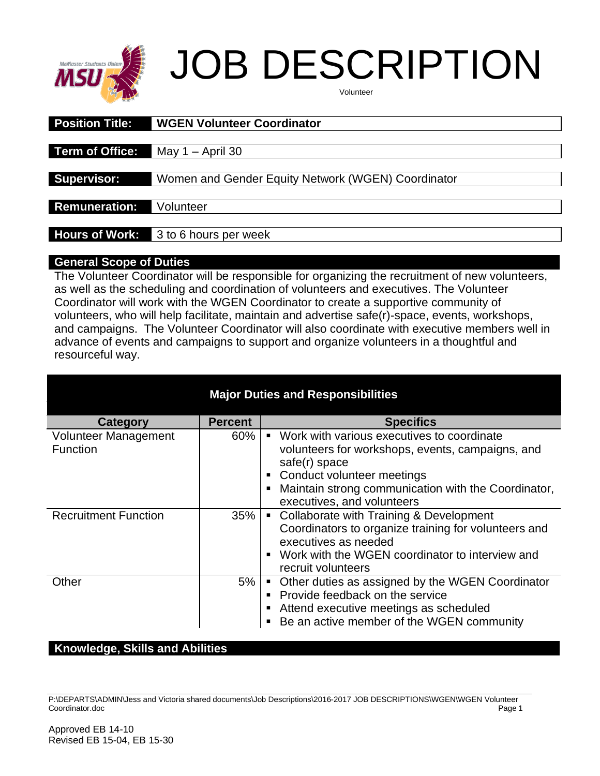

# JOB DESCRIPTION

| Volunteer |  |
|-----------|--|
|-----------|--|

| <b>Position Title:</b> | <b>WGEN Volunteer Coordinator</b>                  |  |  |
|------------------------|----------------------------------------------------|--|--|
|                        |                                                    |  |  |
| <b>Term of Office:</b> | $May 1 - April 30$                                 |  |  |
|                        |                                                    |  |  |
| <b>Supervisor:</b>     | Women and Gender Equity Network (WGEN) Coordinator |  |  |
|                        |                                                    |  |  |
| <b>Remuneration:</b>   | Volunteer                                          |  |  |
|                        |                                                    |  |  |
| <b>Hours of Work:</b>  | 3 to 6 hours per week                              |  |  |
|                        |                                                    |  |  |

#### **General Scope of Duties**

The Volunteer Coordinator will be responsible for organizing the recruitment of new volunteers, as well as the scheduling and coordination of volunteers and executives. The Volunteer Coordinator will work with the WGEN Coordinator to create a supportive community of volunteers, who will help facilitate, maintain and advertise safe(r)-space, events, workshops, and campaigns. The Volunteer Coordinator will also coordinate with executive members well in advance of events and campaigns to support and organize volunteers in a thoughtful and resourceful way.

| <b>Major Duties and Responsibilities</b> |                |                                                                                                                                                                                                                                        |  |  |
|------------------------------------------|----------------|----------------------------------------------------------------------------------------------------------------------------------------------------------------------------------------------------------------------------------------|--|--|
| Category                                 | <b>Percent</b> | <b>Specifics</b>                                                                                                                                                                                                                       |  |  |
| Volunteer Management<br><b>Function</b>  | $60\%$         | ■ Work with various executives to coordinate<br>volunteers for workshops, events, campaigns, and<br>safe(r) space<br>• Conduct volunteer meetings<br>Maintain strong communication with the Coordinator,<br>executives, and volunteers |  |  |
| <b>Recruitment Function</b>              | 35%            | • Collaborate with Training & Development<br>Coordinators to organize training for volunteers and<br>executives as needed<br>• Work with the WGEN coordinator to interview and<br>recruit volunteers                                   |  |  |
| Other                                    | 5%             | • Other duties as assigned by the WGEN Coordinator<br>Provide feedback on the service<br>Attend executive meetings as scheduled<br>Be an active member of the WGEN community                                                           |  |  |

## **Knowledge, Skills and Abilities**

P:\DEPARTS\ADMIN\Jess and Victoria shared documents\Job Descriptions\2016-2017 JOB DESCRIPTIONS\WGEN\WGEN Volunteer Coordinator.doc Page 1